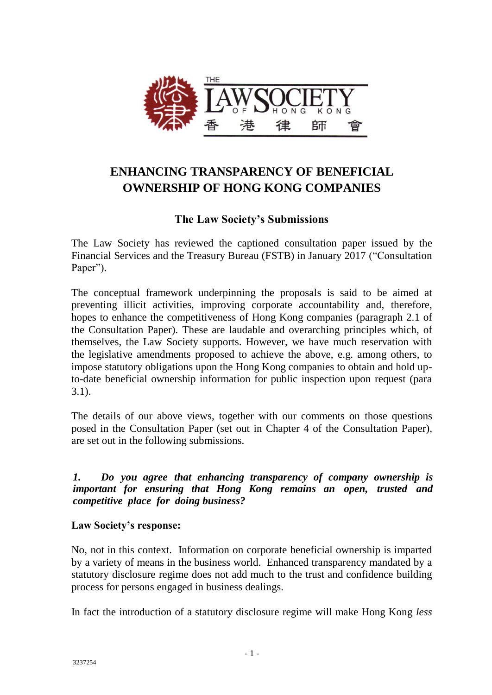

# **ENHANCING TRANSPARENCY OF BENEFICIAL OWNERSHIP OF HONG KONG COMPANIES**

## **The Law Society's Submissions**

The Law Society has reviewed the captioned consultation paper issued by the Financial Services and the Treasury Bureau (FSTB) in January 2017 ("Consultation Paper").

The conceptual framework underpinning the proposals is said to be aimed at preventing illicit activities, improving corporate accountability and, therefore, hopes to enhance the competitiveness of Hong Kong companies (paragraph 2.1 of the Consultation Paper). These are laudable and overarching principles which, of themselves, the Law Society supports. However, we have much reservation with the legislative amendments proposed to achieve the above, e.g. among others, to impose statutory obligations upon the Hong Kong companies to obtain and hold upto-date beneficial ownership information for public inspection upon request (para 3.1).

The details of our above views, together with our comments on those questions posed in the Consultation Paper (set out in Chapter 4 of the Consultation Paper), are set out in the following submissions.

*1. Do you agree that enhancing transparency of company ownership is important for ensuring that Hong Kong remains an open, trusted and competitive place for doing business?*

## **Law Society's response:**

No, not in this context. Information on corporate beneficial ownership is imparted by a variety of means in the business world. Enhanced transparency mandated by a statutory disclosure regime does not add much to the trust and confidence building process for persons engaged in business dealings.

In fact the introduction of a statutory disclosure regime will make Hong Kong *less*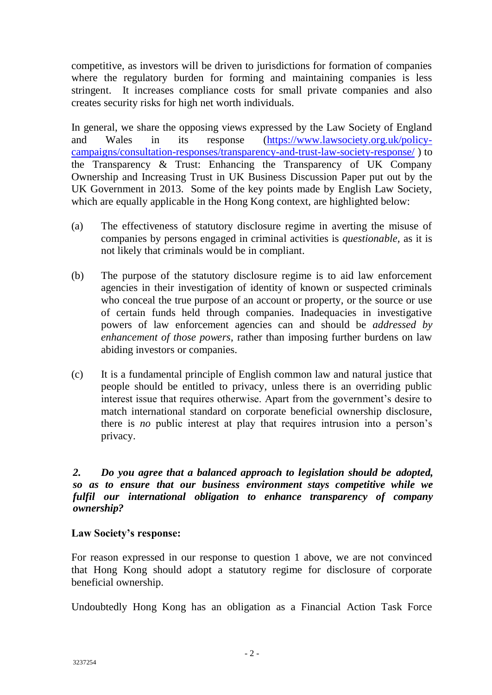competitive, as investors will be driven to jurisdictions for formation of companies where the regulatory burden for forming and maintaining companies is less stringent. It increases compliance costs for small private companies and also creates security risks for high net worth individuals.

In general, we share the opposing views expressed by the Law Society of England and Wales in its response [\(https://www.lawsociety.org.uk/policy](https://www.lawsociety.org.uk/policy-campaigns/consultation-responses/transparency-and-trust-law-society-response/)[campaigns/consultation-responses/transparency-and-trust-law-society-response/](https://www.lawsociety.org.uk/policy-campaigns/consultation-responses/transparency-and-trust-law-society-response/) ) to the Transparency & Trust: Enhancing the Transparency of UK Company Ownership and Increasing Trust in UK Business Discussion Paper put out by the UK Government in 2013. Some of the key points made by English Law Society, which are equally applicable in the Hong Kong context, are highlighted below:

- (a) The effectiveness of statutory disclosure regime in averting the misuse of companies by persons engaged in criminal activities is *questionable,* as it is not likely that criminals would be in compliant.
- (b) The purpose of the statutory disclosure regime is to aid law enforcement agencies in their investigation of identity of known or suspected criminals who conceal the true purpose of an account or property, or the source or use of certain funds held through companies. Inadequacies in investigative powers of law enforcement agencies can and should be *addressed by enhancement of those powers*, rather than imposing further burdens on law abiding investors or companies.
- (c) It is a fundamental principle of English common law and natural justice that people should be entitled to privacy, unless there is an overriding public interest issue that requires otherwise. Apart from the government's desire to match international standard on corporate beneficial ownership disclosure, there is *no* public interest at play that requires intrusion into a person's privacy.

*2. Do you agree that a balanced approach to legislation should be adopted, so as to ensure that our business environment stays competitive while we fulfil our international obligation to enhance transparency of company ownership?*

## **Law Society's response:**

For reason expressed in our response to question 1 above, we are not convinced that Hong Kong should adopt a statutory regime for disclosure of corporate beneficial ownership.

Undoubtedly Hong Kong has an obligation as a Financial Action Task Force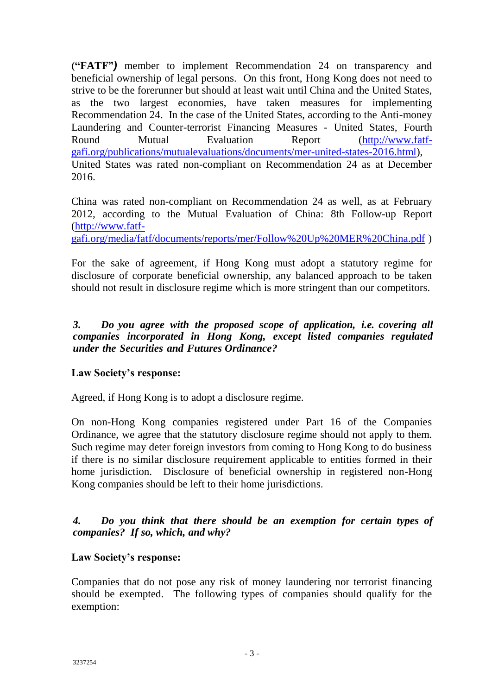**("FATF"***)* member to implement Recommendation 24 on transparency and beneficial ownership of legal persons. On this front, Hong Kong does not need to strive to be the forerunner but should at least wait until China and the United States, as the two largest economies, have taken measures for implementing Recommendation 24. In the case of the United States, according to the Anti-money Laundering and Counter-terrorist Financing Measures - United States, Fourth Round Mutual Evaluation Report [\(http://www.fatf](http://www.fatf-gafi.org/publications/mutualevaluations/documents/mer-united-states-2016.html)[gafi.org/publications/mutualevaluations/documents/mer-united-states-2016.html\)](http://www.fatf-gafi.org/publications/mutualevaluations/documents/mer-united-states-2016.html), United States was rated non-compliant on Recommendation 24 as at December 2016.

China was rated non-compliant on Recommendation 24 as well, as at February 2012, according to the Mutual Evaluation of China: 8th Follow-up Report [\(http://www.fatf-](http://www.fatf-gafi.org/media/fatf/documents/reports/mer/Follow%20Up%20MER%20China.pdf)

[gafi.org/media/fatf/documents/reports/mer/Follow%20Up%20MER%20China.pdf](http://www.fatf-gafi.org/media/fatf/documents/reports/mer/Follow%20Up%20MER%20China.pdf) )

For the sake of agreement, if Hong Kong must adopt a statutory regime for disclosure of corporate beneficial ownership, any balanced approach to be taken should not result in disclosure regime which is more stringent than our competitors.

## *3. Do you agree with the proposed scope of application, i.e. covering all companies incorporated in Hong Kong, except listed companies regulated under the Securities and Futures Ordinance?*

## **Law Society's response:**

Agreed, if Hong Kong is to adopt a disclosure regime.

On non-Hong Kong companies registered under Part 16 of the Companies Ordinance, we agree that the statutory disclosure regime should not apply to them. Such regime may deter foreign investors from coming to Hong Kong to do business if there is no similar disclosure requirement applicable to entities formed in their home jurisdiction. Disclosure of beneficial ownership in registered non-Hong Kong companies should be left to their home jurisdictions.

*4. Do you think that there should be an exemption for certain types of companies? If so, which, and why?*

## **Law Society's response:**

Companies that do not pose any risk of money laundering nor terrorist financing should be exempted. The following types of companies should qualify for the exemption: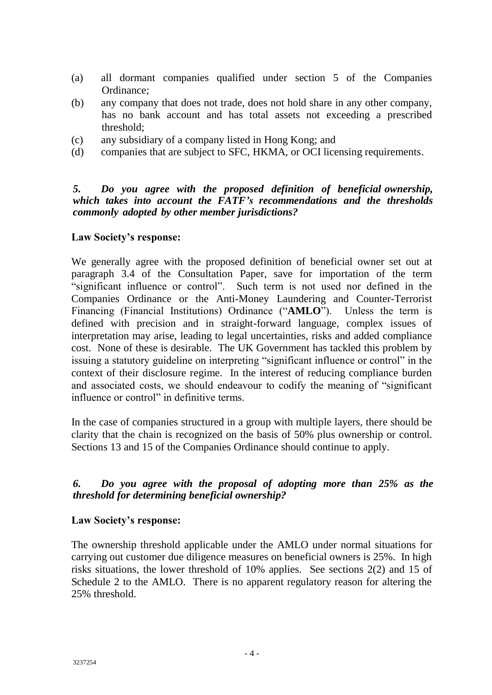- (a) all dormant companies qualified under section 5 of the Companies Ordinance;
- (b) any company that does not trade, does not hold share in any other company, has no bank account and has total assets not exceeding a prescribed threshold;
- (c) any subsidiary of a company listed in Hong Kong; and
- (d) companies that are subject to SFC, HKMA, or OCI licensing requirements.

### *5. Do you agree with the proposed definition of beneficial ownership, which takes into account the FATF's recommendations and the thresholds commonly adopted by other member jurisdictions?*

### **Law Society's response:**

We generally agree with the proposed definition of beneficial owner set out at paragraph 3.4 of the Consultation Paper, save for importation of the term "significant influence or control". Such term is not used nor defined in the Companies Ordinance or the Anti-Money Laundering and Counter-Terrorist Financing (Financial Institutions) Ordinance ("**AMLO**"). Unless the term is defined with precision and in straight-forward language, complex issues of interpretation may arise, leading to legal uncertainties, risks and added compliance cost. None of these is desirable. The UK Government has tackled this problem by issuing a statutory guideline on interpreting "significant influence or control" in the context of their disclosure regime. In the interest of reducing compliance burden and associated costs, we should endeavour to codify the meaning of "significant influence or control" in definitive terms.

In the case of companies structured in a group with multiple layers, there should be clarity that the chain is recognized on the basis of 50% plus ownership or control. Sections 13 and 15 of the Companies Ordinance should continue to apply.

## *6. Do you agree with the proposal of adopting more than 25% as the threshold for determining beneficial ownership?*

### **Law Society's response:**

The ownership threshold applicable under the AMLO under normal situations for carrying out customer due diligence measures on beneficial owners is 25%. In high risks situations, the lower threshold of 10% applies. See sections 2(2) and 15 of Schedule 2 to the AMLO. There is no apparent regulatory reason for altering the 25% threshold.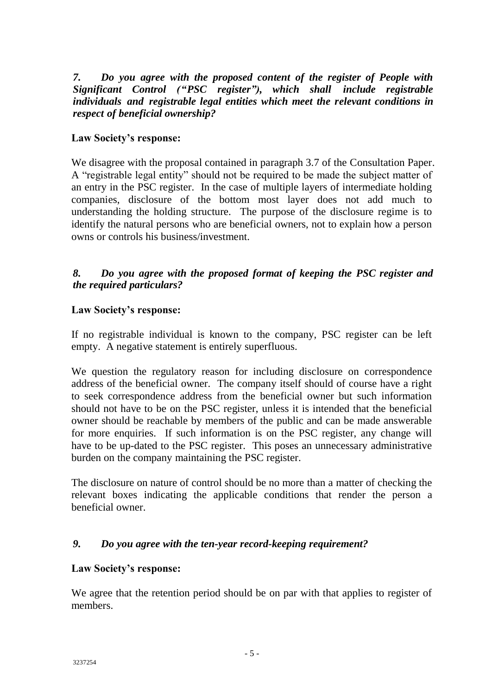*7. Do you agree with the proposed content of the register of People with Significant Control ("PSC register"), which shall include registrable individuals and registrable legal entities which meet the relevant conditions in respect of beneficial ownership?*

## **Law Society's response:**

We disagree with the proposal contained in paragraph 3.7 of the Consultation Paper. A "registrable legal entity" should not be required to be made the subject matter of an entry in the PSC register. In the case of multiple layers of intermediate holding companies, disclosure of the bottom most layer does not add much to understanding the holding structure. The purpose of the disclosure regime is to identify the natural persons who are beneficial owners, not to explain how a person owns or controls his business/investment.

## *8. Do you agree with the proposed format of keeping the PSC register and the required particulars?*

## **Law Society's response:**

If no registrable individual is known to the company, PSC register can be left empty. A negative statement is entirely superfluous.

We question the regulatory reason for including disclosure on correspondence address of the beneficial owner. The company itself should of course have a right to seek correspondence address from the beneficial owner but such information should not have to be on the PSC register, unless it is intended that the beneficial owner should be reachable by members of the public and can be made answerable for more enquiries. If such information is on the PSC register, any change will have to be up-dated to the PSC register. This poses an unnecessary administrative burden on the company maintaining the PSC register.

The disclosure on nature of control should be no more than a matter of checking the relevant boxes indicating the applicable conditions that render the person a beneficial owner.

## *9. Do you agree with the ten-year record-keeping requirement?*

## **Law Society's response:**

We agree that the retention period should be on par with that applies to register of members.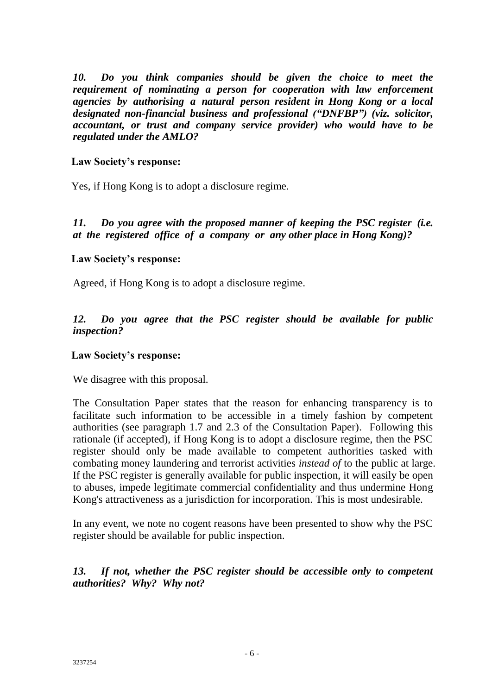*10. Do you think companies should be given the choice to meet the requirement of nominating a person for cooperation with law enforcement agencies by authorising a natural person resident in Hong Kong or a local designated non-financial business and professional ("DNFBP") (viz. solicitor, accountant, or trust and company service provider) who would have to be regulated under the AMLO?*

### **Law Society's response:**

Yes, if Hong Kong is to adopt a disclosure regime.

*11. Do you agree with the proposed manner of keeping the PSC register (i.e. at the registered office of a company or any other place in Hong Kong)?*

### **Law Society's response:**

Agreed, if Hong Kong is to adopt a disclosure regime.

*12. Do you agree that the PSC register should be available for public inspection?*

### **Law Society's response:**

We disagree with this proposal.

The Consultation Paper states that the reason for enhancing transparency is to facilitate such information to be accessible in a timely fashion by competent authorities (see paragraph 1.7 and 2.3 of the Consultation Paper). Following this rationale (if accepted), if Hong Kong is to adopt a disclosure regime, then the PSC register should only be made available to competent authorities tasked with combating money laundering and terrorist activities *instead of* to the public at large. If the PSC register is generally available for public inspection, it will easily be open to abuses, impede legitimate commercial confidentiality and thus undermine Hong Kong's attractiveness as a jurisdiction for incorporation. This is most undesirable.

In any event, we note no cogent reasons have been presented to show why the PSC register should be available for public inspection.

## *13. If not, whether the PSC register should be accessible only to competent authorities? Why? Why not?*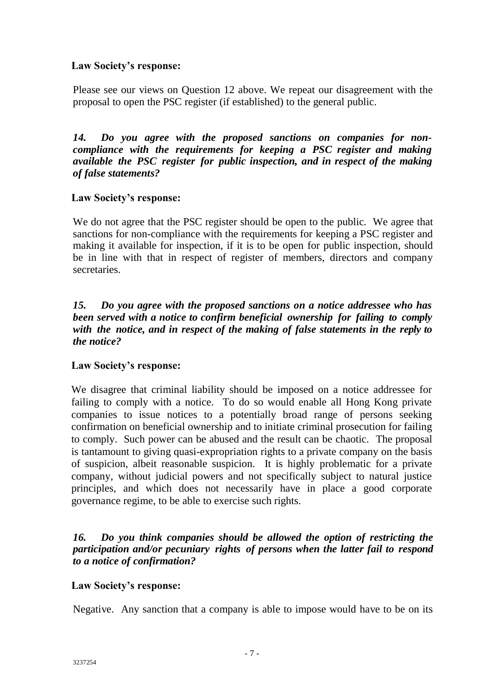## **Law Society's response:**

Please see our views on Question 12 above. We repeat our disagreement with the proposal to open the PSC register (if established) to the general public.

*14. Do you agree with the proposed sanctions on companies for noncompliance with the requirements for keeping a PSC register and making available the PSC register for public inspection, and in respect of the making of false statements?*

## **Law Society's response:**

We do not agree that the PSC register should be open to the public. We agree that sanctions for non-compliance with the requirements for keeping a PSC register and making it available for inspection, if it is to be open for public inspection, should be in line with that in respect of register of members, directors and company secretaries.

## *15. Do you agree with the proposed sanctions on a notice addressee who has been served with a notice to confirm beneficial ownership for failing to comply with the notice, and in respect of the making of false statements in the reply to the notice?*

## **Law Society's response:**

We disagree that criminal liability should be imposed on a notice addressee for failing to comply with a notice. To do so would enable all Hong Kong private companies to issue notices to a potentially broad range of persons seeking confirmation on beneficial ownership and to initiate criminal prosecution for failing to comply. Such power can be abused and the result can be chaotic. The proposal is tantamount to giving quasi-expropriation rights to a private company on the basis of suspicion, albeit reasonable suspicion. It is highly problematic for a private company, without judicial powers and not specifically subject to natural justice principles, and which does not necessarily have in place a good corporate governance regime, to be able to exercise such rights.

## *16. Do you think companies should be allowed the option of restricting the participation and/or pecuniary rights of persons when the latter fail to respond to a notice of confirmation?*

## **Law Society's response:**

Negative. Any sanction that a company is able to impose would have to be on its